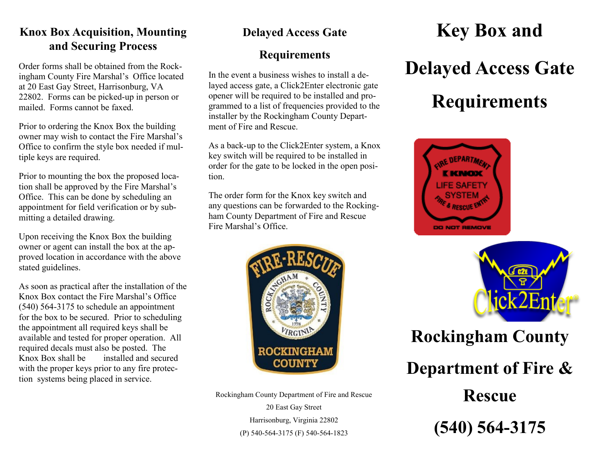## **Knox Box Acquisition, Mounting and Securing Process**

Order forms shall be obtained from the Rockingham County Fire Marshal's Office located at 20 East Gay Street, Harrisonburg, VA 22802. Forms can be picked-up in person or mailed. Forms cannot be faxed.

Prior to ordering the Knox Box the building owner may wish to contact the Fire Marshal's Office to confirm the style box needed if multiple keys are required.

Prior to mounting the box the proposed location shall be approved by the Fire Marshal's Office. This can be done by scheduling an appointment for field verification or by submitting a detailed drawing.

Upon receiving the Knox Box the building owner or agent can install the box at the approved location in accordance with the above stated guidelines.

As soon as practical after the installation of the Knox Box contact the Fire Marshal's Office (540) 564-3175 to schedule an appointment for the box to be secured. Prior to scheduling the appointment all required keys shall be available and tested for proper operation. All required decals must also be posted. The Knox Box shall be installed and secured with the proper keys prior to any fire protection systems being placed in service.

## **Delayed Access Gate**

# **Requirements**

In the event a business wishes to install a delayed access gate, a Click2Enter electronic gate opener will be required to be installed and programmed to a list of frequencies provided to the installer by the Rockingham County Department of Fire and Rescue.

As a back-up to the Click2Enter system, a Knox key switch will be required to be installed in order for the gate to be locked in the open position.

The order form for the Knox key switch and any questions can be forwarded to the Rockingham County Department of Fire and Rescue Fire Marshal's Office.



Rockingham County Department of Fire and Rescue 20 East Gay Street Harrisonburg, Virginia 22802 (P) 540-564-3175 (F) 540-564-1823

# **Key Box and Delayed Access Gate Requirements**





**Rockingham County Department of Fire & Rescue (540) 564-3175**